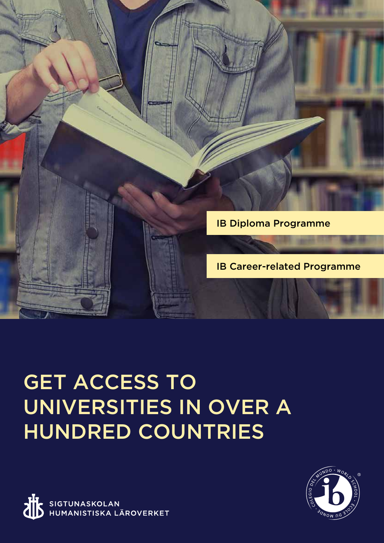

# GET ACCESS TO UNIVERSITIES IN OVER A HUNDRED COUNTRIES